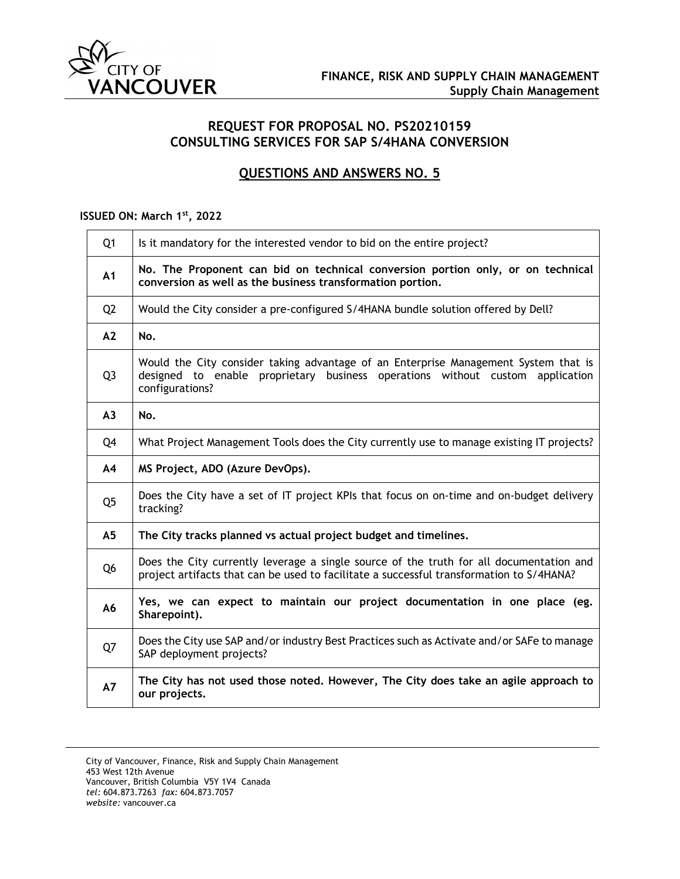

## **REQUEST FOR PROPOSAL NO. PS20210159 CONSULTING SERVICES FOR SAP S/4HANA CONVERSION**

# **QUESTIONS AND ANSWERS NO. 5**

### **ISSUED ON: March 1st, 2022**

| Q <sub>1</sub> | Is it mandatory for the interested vendor to bid on the entire project?                                                                                                                 |
|----------------|-----------------------------------------------------------------------------------------------------------------------------------------------------------------------------------------|
| A1             | No. The Proponent can bid on technical conversion portion only, or on technical<br>conversion as well as the business transformation portion.                                           |
| Q <sub>2</sub> | Would the City consider a pre-configured S/4HANA bundle solution offered by Dell?                                                                                                       |
| A2             | No.                                                                                                                                                                                     |
| Q <sub>3</sub> | Would the City consider taking advantage of an Enterprise Management System that is<br>designed to enable proprietary business operations without custom application<br>configurations? |
| A3             | No.                                                                                                                                                                                     |
| Q4             | What Project Management Tools does the City currently use to manage existing IT projects?                                                                                               |
| A4             | MS Project, ADO (Azure DevOps).                                                                                                                                                         |
| Q <sub>5</sub> | Does the City have a set of IT project KPIs that focus on on-time and on-budget delivery<br>tracking?                                                                                   |
| A <sub>5</sub> | The City tracks planned vs actual project budget and timelines.                                                                                                                         |
| Q <sub>6</sub> | Does the City currently leverage a single source of the truth for all documentation and<br>project artifacts that can be used to facilitate a successful transformation to S/4HANA?     |
| A6             | Yes, we can expect to maintain our project documentation in one place (eg.<br>Sharepoint).                                                                                              |
| Q7             | Does the City use SAP and/or industry Best Practices such as Activate and/or SAFe to manage<br>SAP deployment projects?                                                                 |
| A7             | The City has not used those noted. However, The City does take an agile approach to<br>our projects.                                                                                    |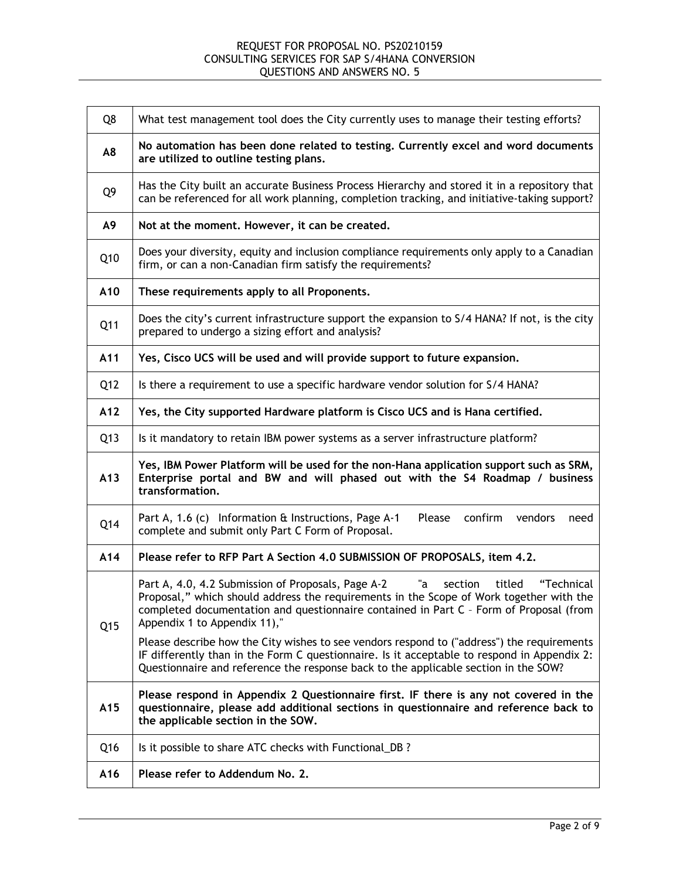| Q8  | What test management tool does the City currently uses to manage their testing efforts?                                                                                                                                                                                                                          |
|-----|------------------------------------------------------------------------------------------------------------------------------------------------------------------------------------------------------------------------------------------------------------------------------------------------------------------|
| A8  | No automation has been done related to testing. Currently excel and word documents<br>are utilized to outline testing plans.                                                                                                                                                                                     |
| Q9  | Has the City built an accurate Business Process Hierarchy and stored it in a repository that<br>can be referenced for all work planning, completion tracking, and initiative-taking support?                                                                                                                     |
| A9  | Not at the moment. However, it can be created.                                                                                                                                                                                                                                                                   |
| Q10 | Does your diversity, equity and inclusion compliance requirements only apply to a Canadian<br>firm, or can a non-Canadian firm satisfy the requirements?                                                                                                                                                         |
| A10 | These requirements apply to all Proponents.                                                                                                                                                                                                                                                                      |
| Q11 | Does the city's current infrastructure support the expansion to S/4 HANA? If not, is the city<br>prepared to undergo a sizing effort and analysis?                                                                                                                                                               |
| A11 | Yes, Cisco UCS will be used and will provide support to future expansion.                                                                                                                                                                                                                                        |
| Q12 | Is there a requirement to use a specific hardware vendor solution for S/4 HANA?                                                                                                                                                                                                                                  |
| A12 | Yes, the City supported Hardware platform is Cisco UCS and is Hana certified.                                                                                                                                                                                                                                    |
| Q13 | Is it mandatory to retain IBM power systems as a server infrastructure platform?                                                                                                                                                                                                                                 |
| A13 | Yes, IBM Power Platform will be used for the non-Hana application support such as SRM,<br>Enterprise portal and BW and will phased out with the S4 Roadmap / business<br>transformation.                                                                                                                         |
| Q14 | confirm<br>Part A, 1.6 (c) Information & Instructions, Page A-1<br>Please<br>vendors<br>need<br>complete and submit only Part C Form of Proposal.                                                                                                                                                                |
| A14 | Please refer to RFP Part A Section 4.0 SUBMISSION OF PROPOSALS, item 4.2.                                                                                                                                                                                                                                        |
| Q15 | Part A, 4.0, 4.2 Submission of Proposals, Page A-2<br>titled<br>"Technical<br>"a<br>section<br>Proposal," which should address the requirements in the Scope of Work together with the<br>completed documentation and questionnaire contained in Part C - Form of Proposal (from<br>Appendix 1 to Appendix 11)," |
|     | Please describe how the City wishes to see vendors respond to ("address") the requirements<br>IF differently than in the Form C questionnaire. Is it acceptable to respond in Appendix 2:<br>Questionnaire and reference the response back to the applicable section in the SOW?                                 |
| A15 | Please respond in Appendix 2 Questionnaire first. IF there is any not covered in the<br>questionnaire, please add additional sections in questionnaire and reference back to<br>the applicable section in the SOW.                                                                                               |
| Q16 | Is it possible to share ATC checks with Functional_DB?                                                                                                                                                                                                                                                           |
| A16 | Please refer to Addendum No. 2.                                                                                                                                                                                                                                                                                  |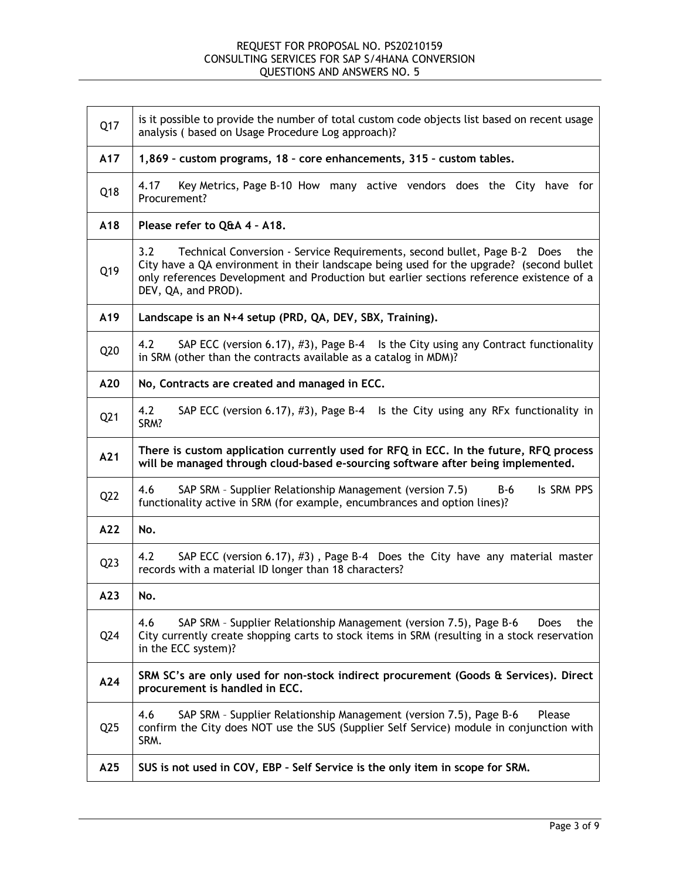| Q17             | is it possible to provide the number of total custom code objects list based on recent usage<br>analysis (based on Usage Procedure Log approach)?                                                                                                                                                      |
|-----------------|--------------------------------------------------------------------------------------------------------------------------------------------------------------------------------------------------------------------------------------------------------------------------------------------------------|
| A17             | 1,869 - custom programs, 18 - core enhancements, 315 - custom tables.                                                                                                                                                                                                                                  |
| Q18             | Key Metrics, Page B-10 How many active vendors does the City have for<br>4.17<br>Procurement?                                                                                                                                                                                                          |
| A18             | Please refer to Q&A 4 - A18.                                                                                                                                                                                                                                                                           |
| Q19             | 3.2<br>Technical Conversion - Service Requirements, second bullet, Page B-2 Does<br>the<br>City have a QA environment in their landscape being used for the upgrade? (second bullet<br>only references Development and Production but earlier sections reference existence of a<br>DEV, QA, and PROD). |
| A19             | Landscape is an N+4 setup (PRD, QA, DEV, SBX, Training).                                                                                                                                                                                                                                               |
| Q20             | SAP ECC (version 6.17), #3), Page B-4 Is the City using any Contract functionality<br>4.2<br>in SRM (other than the contracts available as a catalog in MDM)?                                                                                                                                          |
| A20             | No, Contracts are created and managed in ECC.                                                                                                                                                                                                                                                          |
| Q <sub>21</sub> | 4.2<br>SAP ECC (version 6.17), #3), Page B-4 Is the City using any RFx functionality in<br>SRM?                                                                                                                                                                                                        |
| A21             | There is custom application currently used for RFQ in ECC. In the future, RFQ process<br>will be managed through cloud-based e-sourcing software after being implemented.                                                                                                                              |
| Q22             | SAP SRM - Supplier Relationship Management (version 7.5)<br>Is SRM PPS<br>B-6<br>4.6<br>functionality active in SRM (for example, encumbrances and option lines)?                                                                                                                                      |
| A22             | No.                                                                                                                                                                                                                                                                                                    |
| Q <sub>23</sub> | SAP ECC (version 6.17), #3), Page B-4 Does the City have any material master<br>4.2<br>records with a material ID longer than 18 characters?                                                                                                                                                           |
| A23             | No.                                                                                                                                                                                                                                                                                                    |
| Q24             | SAP SRM - Supplier Relationship Management (version 7.5), Page B-6<br>4.6<br>the<br>Does<br>City currently create shopping carts to stock items in SRM (resulting in a stock reservation<br>in the ECC system)?                                                                                        |
| A24             | SRM SC's are only used for non-stock indirect procurement (Goods & Services). Direct<br>procurement is handled in ECC.                                                                                                                                                                                 |
| Q <sub>25</sub> | SAP SRM - Supplier Relationship Management (version 7.5), Page B-6<br>Please<br>4.6<br>confirm the City does NOT use the SUS (Supplier Self Service) module in conjunction with<br>SRM.                                                                                                                |
| A25             | SUS is not used in COV, EBP - Self Service is the only item in scope for SRM.                                                                                                                                                                                                                          |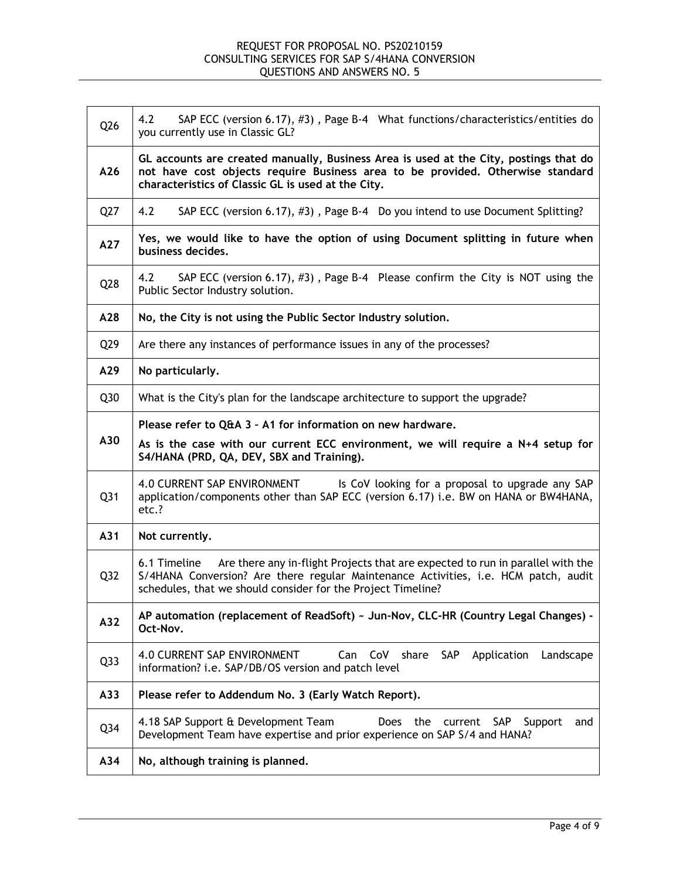| Q26             | 4.2<br>SAP ECC (version 6.17), #3), Page B-4 What functions/characteristics/entities do<br>you currently use in Classic GL?                                                                                                                           |  |
|-----------------|-------------------------------------------------------------------------------------------------------------------------------------------------------------------------------------------------------------------------------------------------------|--|
| A26             | GL accounts are created manually, Business Area is used at the City, postings that do<br>not have cost objects require Business area to be provided. Otherwise standard<br>characteristics of Classic GL is used at the City.                         |  |
| Q27             | 4.2<br>SAP ECC (version 6.17), #3), Page B-4 Do you intend to use Document Splitting?                                                                                                                                                                 |  |
| A27             | Yes, we would like to have the option of using Document splitting in future when<br>business decides.                                                                                                                                                 |  |
| Q28             | 4.2<br>SAP ECC (version 6.17), #3), Page B-4 Please confirm the City is NOT using the<br>Public Sector Industry solution.                                                                                                                             |  |
| A28             | No, the City is not using the Public Sector Industry solution.                                                                                                                                                                                        |  |
| Q <sub>29</sub> | Are there any instances of performance issues in any of the processes?                                                                                                                                                                                |  |
| A29             | No particularly.                                                                                                                                                                                                                                      |  |
| Q30             | What is the City's plan for the landscape architecture to support the upgrade?                                                                                                                                                                        |  |
| A30             | Please refer to Q&A 3 - A1 for information on new hardware.<br>As is the case with our current ECC environment, we will require a N+4 setup for<br>S4/HANA (PRD, QA, DEV, SBX and Training).                                                          |  |
| Q <sub>31</sub> | 4.0 CURRENT SAP ENVIRONMENT<br>Is CoV looking for a proposal to upgrade any SAP<br>application/components other than SAP ECC (version 6.17) i.e. BW on HANA or BW4HANA,<br>etc.?                                                                      |  |
| A31             | Not currently.                                                                                                                                                                                                                                        |  |
| Q <sub>32</sub> | Are there any in-flight Projects that are expected to run in parallel with the<br>6.1 Timeline<br>S/4HANA Conversion? Are there regular Maintenance Activities, i.e. HCM patch, audit<br>schedules, that we should consider for the Project Timeline? |  |
| A32             | AP automation (replacement of ReadSoft) ~ Jun-Nov, CLC-HR (Country Legal Changes) -<br>Oct-Nov.                                                                                                                                                       |  |
| Q <sub>33</sub> | 4.0 CURRENT SAP ENVIRONMENT<br>CoV<br>share SAP<br>Can<br>Application<br>Landscape<br>information? i.e. SAP/DB/OS version and patch level                                                                                                             |  |
| A33             | Please refer to Addendum No. 3 (Early Watch Report).                                                                                                                                                                                                  |  |
| Q <sub>34</sub> | 4.18 SAP Support & Development Team<br>Does<br>the current<br>SAP<br>Support<br>and                                                                                                                                                                   |  |
|                 | Development Team have expertise and prior experience on SAP S/4 and HANA?                                                                                                                                                                             |  |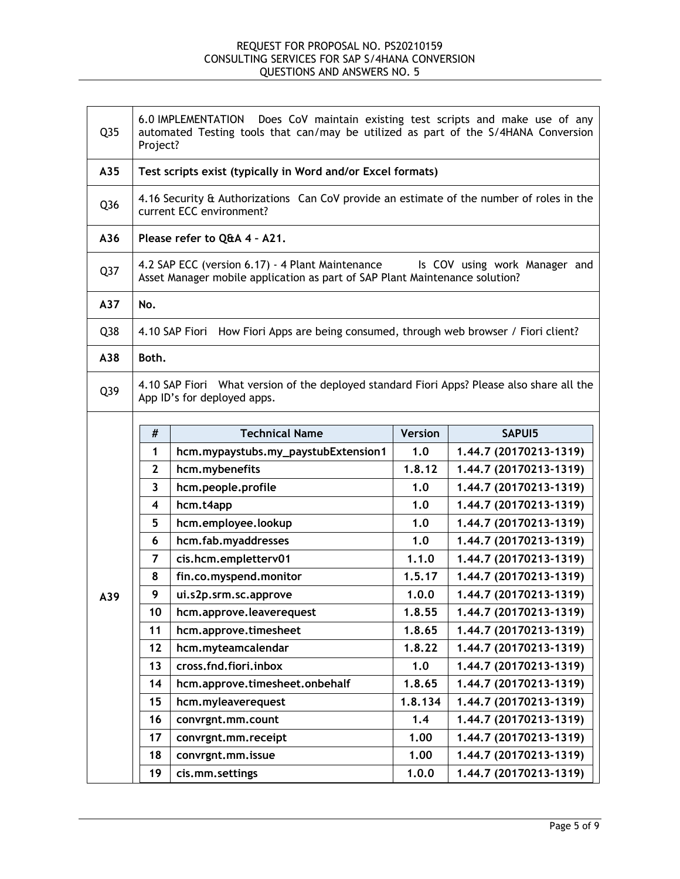| Q <sub>35</sub> | 6.0 IMPLEMENTATION Does CoV maintain existing test scripts and make use of any<br>automated Testing tools that can/may be utilized as part of the S/4HANA Conversion<br>Project? |                                                                                                                      |                |                        |
|-----------------|----------------------------------------------------------------------------------------------------------------------------------------------------------------------------------|----------------------------------------------------------------------------------------------------------------------|----------------|------------------------|
| A35             |                                                                                                                                                                                  | Test scripts exist (typically in Word and/or Excel formats)                                                          |                |                        |
| Q <sub>36</sub> |                                                                                                                                                                                  | 4.16 Security & Authorizations Can CoV provide an estimate of the number of roles in the<br>current ECC environment? |                |                        |
| A36             |                                                                                                                                                                                  | Please refer to Q&A 4 - A21.                                                                                         |                |                        |
| Q <sub>37</sub> | 4.2 SAP ECC (version 6.17) - 4 Plant Maintenance<br>Is COV using work Manager and<br>Asset Manager mobile application as part of SAP Plant Maintenance solution?                 |                                                                                                                      |                |                        |
| A37             | No.                                                                                                                                                                              |                                                                                                                      |                |                        |
| Q38             |                                                                                                                                                                                  | 4.10 SAP Fiori How Fiori Apps are being consumed, through web browser / Fiori client?                                |                |                        |
| A38             | Both.                                                                                                                                                                            |                                                                                                                      |                |                        |
| Q39             | 4.10 SAP Fiori What version of the deployed standard Fiori Apps? Please also share all the<br>App ID's for deployed apps.                                                        |                                                                                                                      |                |                        |
|                 | #                                                                                                                                                                                | <b>Technical Name</b>                                                                                                | <b>Version</b> | SAPUI5                 |
|                 | $\mathbf{1}$                                                                                                                                                                     | hcm.mypaystubs.my_paystubExtension1                                                                                  | 1.0            |                        |
|                 |                                                                                                                                                                                  |                                                                                                                      |                | 1.44.7 (20170213-1319) |
|                 | $\mathbf{2}$                                                                                                                                                                     | hcm.mybenefits                                                                                                       | 1.8.12         | 1.44.7 (20170213-1319) |
|                 | 3                                                                                                                                                                                | hcm.people.profile                                                                                                   | 1.0            | 1.44.7 (20170213-1319) |
|                 | 4                                                                                                                                                                                | hcm.t4app                                                                                                            | 1.0            | 1.44.7 (20170213-1319) |
|                 | 5                                                                                                                                                                                | hcm.employee.lookup                                                                                                  | 1.0            | 1.44.7 (20170213-1319) |
|                 | 6                                                                                                                                                                                | hcm.fab.myaddresses                                                                                                  | 1.0            | 1.44.7 (20170213-1319) |
|                 | 7                                                                                                                                                                                | cis.hcm.empletterv01                                                                                                 | 1.1.0          | 1.44.7 (20170213-1319) |
|                 | 8                                                                                                                                                                                | fin.co.myspend.monitor                                                                                               | 1.5.17         | 1.44.7 (20170213-1319) |
| A39             | 9                                                                                                                                                                                | ui.s2p.srm.sc.approve                                                                                                | 1.0.0          | 1.44.7 (20170213-1319) |
|                 | 10                                                                                                                                                                               | hcm.approve.leaverequest                                                                                             | 1.8.55         | 1.44.7 (20170213-1319) |
|                 | 11                                                                                                                                                                               | hcm.approve.timesheet                                                                                                | 1.8.65         | 1.44.7 (20170213-1319) |
|                 | 12                                                                                                                                                                               | hcm.myteamcalendar                                                                                                   | 1.8.22         | 1.44.7 (20170213-1319) |
|                 | 13                                                                                                                                                                               | cross.fnd.fiori.inbox                                                                                                | 1.0            | 1.44.7 (20170213-1319) |
|                 | 14                                                                                                                                                                               | hcm.approve.timesheet.onbehalf                                                                                       | 1.8.65         | 1.44.7 (20170213-1319) |
|                 | 15                                                                                                                                                                               | hcm.myleaverequest                                                                                                   | 1.8.134        | 1.44.7 (20170213-1319) |
|                 | 16                                                                                                                                                                               | convrgnt.mm.count                                                                                                    | 1.4            | 1.44.7 (20170213-1319) |
|                 | 17                                                                                                                                                                               | convrgnt.mm.receipt                                                                                                  | 1.00           | 1.44.7 (20170213-1319) |
|                 | 18                                                                                                                                                                               | convrgnt.mm.issue                                                                                                    | 1.00           | 1.44.7 (20170213-1319) |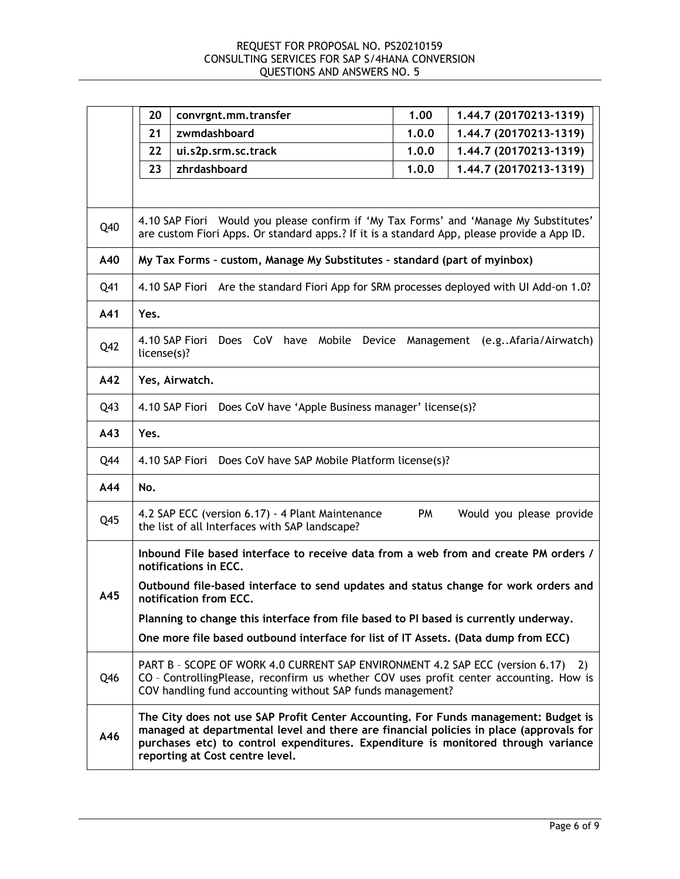|     | 20<br>convrgnt.mm.transfer                                                                                                                                                                                                                                                                            | 1.00  | 1.44.7 (20170213-1319)          |
|-----|-------------------------------------------------------------------------------------------------------------------------------------------------------------------------------------------------------------------------------------------------------------------------------------------------------|-------|---------------------------------|
|     | 21<br>zwmdashboard                                                                                                                                                                                                                                                                                    | 1.0.0 | 1.44.7 (20170213-1319)          |
|     | 22<br>ui.s2p.srm.sc.track                                                                                                                                                                                                                                                                             | 1.0.0 | 1.44.7 (20170213-1319)          |
|     | 23<br>zhrdashboard                                                                                                                                                                                                                                                                                    | 1.0.0 | 1.44.7 (20170213-1319)          |
|     |                                                                                                                                                                                                                                                                                                       |       |                                 |
| Q40 | 4.10 SAP Fiori Would you please confirm if 'My Tax Forms' and 'Manage My Substitutes'<br>are custom Fiori Apps. Or standard apps.? If it is a standard App, please provide a App ID.                                                                                                                  |       |                                 |
| A40 | My Tax Forms - custom, Manage My Substitutes - standard (part of myinbox)                                                                                                                                                                                                                             |       |                                 |
| Q41 | Are the standard Fiori App for SRM processes deployed with UI Add-on 1.0?<br>4.10 SAP Fiori                                                                                                                                                                                                           |       |                                 |
| A41 | Yes.                                                                                                                                                                                                                                                                                                  |       |                                 |
| Q42 | 4.10 SAP Fiori<br>have Mobile<br>Does CoV<br>Device<br>license(s)?                                                                                                                                                                                                                                    |       | Management (e.gAfaria/Airwatch) |
| A42 | Yes, Airwatch.                                                                                                                                                                                                                                                                                        |       |                                 |
| Q43 | 4.10 SAP Fiori<br>Does CoV have 'Apple Business manager' license(s)?                                                                                                                                                                                                                                  |       |                                 |
| A43 | Yes.                                                                                                                                                                                                                                                                                                  |       |                                 |
| Q44 | 4.10 SAP Fiori Does CoV have SAP Mobile Platform license(s)?                                                                                                                                                                                                                                          |       |                                 |
| A44 | No.                                                                                                                                                                                                                                                                                                   |       |                                 |
| Q45 | 4.2 SAP ECC (version 6.17) - 4 Plant Maintenance<br>the list of all Interfaces with SAP landscape?                                                                                                                                                                                                    | PM    | Would you please provide        |
|     | Inbound File based interface to receive data from a web from and create PM orders /<br>notifications in ECC.                                                                                                                                                                                          |       |                                 |
| A45 | Outbound file-based interface to send updates and status change for work orders and<br>notification from ECC.                                                                                                                                                                                         |       |                                 |
|     | Planning to change this interface from file based to PI based is currently underway.                                                                                                                                                                                                                  |       |                                 |
|     | One more file based outbound interface for list of IT Assets. (Data dump from ECC)                                                                                                                                                                                                                    |       |                                 |
| Q46 | PART B - SCOPE OF WORK 4.0 CURRENT SAP ENVIRONMENT 4.2 SAP ECC (version 6.17) 2)<br>CO - ControllingPlease, reconfirm us whether COV uses profit center accounting. How is<br>COV handling fund accounting without SAP funds management?                                                              |       |                                 |
| A46 | The City does not use SAP Profit Center Accounting. For Funds management: Budget is<br>managed at departmental level and there are financial policies in place (approvals for<br>purchases etc) to control expenditures. Expenditure is monitored through variance<br>reporting at Cost centre level. |       |                                 |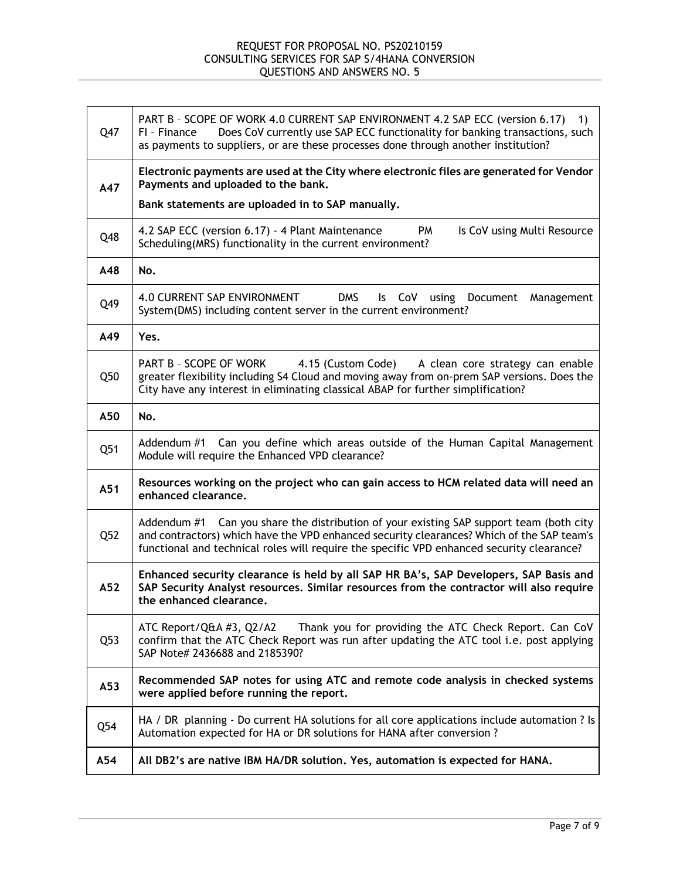| Q47 | PART B - SCOPE OF WORK 4.0 CURRENT SAP ENVIRONMENT 4.2 SAP ECC (version 6.17) 1)<br>Does CoV currently use SAP ECC functionality for banking transactions, such<br>FI - Finance<br>as payments to suppliers, or are these processes done through another institution?             |
|-----|-----------------------------------------------------------------------------------------------------------------------------------------------------------------------------------------------------------------------------------------------------------------------------------|
| A47 | Electronic payments are used at the City where electronic files are generated for Vendor<br>Payments and uploaded to the bank.                                                                                                                                                    |
|     | Bank statements are uploaded in to SAP manually.                                                                                                                                                                                                                                  |
| Q48 | 4.2 SAP ECC (version 6.17) - 4 Plant Maintenance<br>PM<br>Is CoV using Multi Resource<br>Scheduling(MRS) functionality in the current environment?                                                                                                                                |
| A48 | No.                                                                                                                                                                                                                                                                               |
| Q49 | <b>DMS</b><br>4.0 CURRENT SAP ENVIRONMENT<br>$\mathsf{ls}$<br>CoV<br>using Document<br>Management<br>System(DMS) including content server in the current environment?                                                                                                             |
| A49 | Yes.                                                                                                                                                                                                                                                                              |
| Q50 | PART B - SCOPE OF WORK<br>4.15 (Custom Code)<br>A clean core strategy can enable<br>greater flexibility including S4 Cloud and moving away from on-prem SAP versions. Does the<br>City have any interest in eliminating classical ABAP for further simplification?                |
| A50 | No.                                                                                                                                                                                                                                                                               |
| Q51 | Addendum #1 Can you define which areas outside of the Human Capital Management<br>Module will require the Enhanced VPD clearance?                                                                                                                                                 |
| A51 | Resources working on the project who can gain access to HCM related data will need an<br>enhanced clearance.                                                                                                                                                                      |
| Q52 | Addendum #1 Can you share the distribution of your existing SAP support team (both city<br>and contractors) which have the VPD enhanced security clearances? Which of the SAP team's<br>functional and technical roles will require the specific VPD enhanced security clearance? |
| A52 | Enhanced security clearance is held by all SAP HR BA's, SAP Developers, SAP Basis and<br>SAP Security Analyst resources. Similar resources from the contractor will also require<br>the enhanced clearance.                                                                       |
| Q53 | Thank you for providing the ATC Check Report. Can CoV<br>ATC Report/Q&A #3, Q2/A2<br>confirm that the ATC Check Report was run after updating the ATC tool i.e. post applying<br>SAP Note# 2436688 and 2185390?                                                                   |
| A53 | Recommended SAP notes for using ATC and remote code analysis in checked systems<br>were applied before running the report.                                                                                                                                                        |
| Q54 | HA / DR planning - Do current HA solutions for all core applications include automation ? Is<br>Automation expected for HA or DR solutions for HANA after conversion ?                                                                                                            |
| A54 | All DB2's are native IBM HA/DR solution. Yes, automation is expected for HANA.                                                                                                                                                                                                    |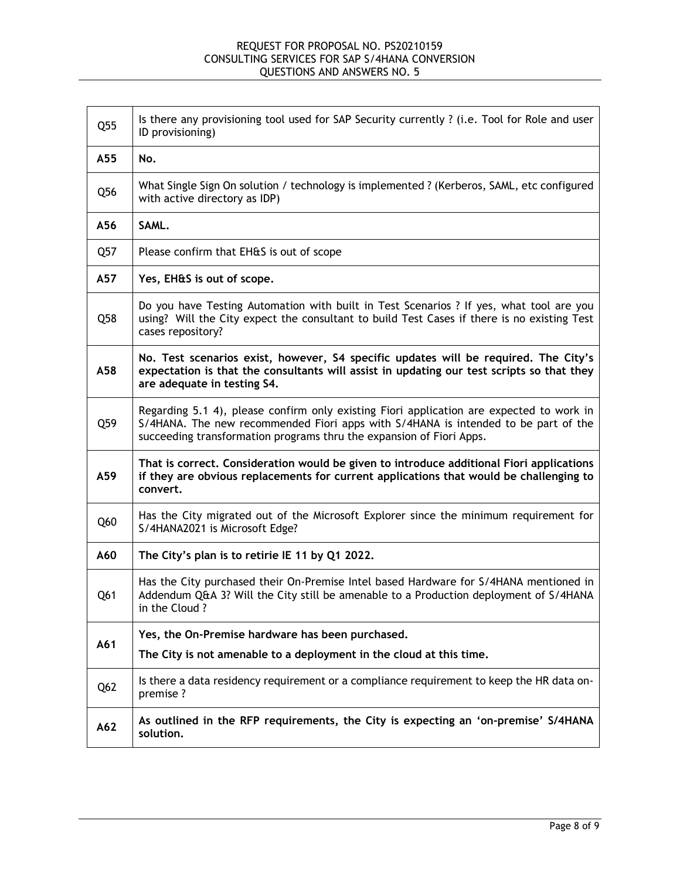| Q55             | Is there any provisioning tool used for SAP Security currently ? (i.e. Tool for Role and user<br>ID provisioning)                                                                                                                                      |
|-----------------|--------------------------------------------------------------------------------------------------------------------------------------------------------------------------------------------------------------------------------------------------------|
| A55             | No.                                                                                                                                                                                                                                                    |
| Q <sub>56</sub> | What Single Sign On solution / technology is implemented ? (Kerberos, SAML, etc configured<br>with active directory as IDP)                                                                                                                            |
| A56             | SAML.                                                                                                                                                                                                                                                  |
| Q57             | Please confirm that EH&S is out of scope                                                                                                                                                                                                               |
| A57             | Yes, EH&S is out of scope.                                                                                                                                                                                                                             |
| Q58             | Do you have Testing Automation with built in Test Scenarios ? If yes, what tool are you<br>using? Will the City expect the consultant to build Test Cases if there is no existing Test<br>cases repository?                                            |
| A58             | No. Test scenarios exist, however, S4 specific updates will be required. The City's<br>expectation is that the consultants will assist in updating our test scripts so that they<br>are adequate in testing S4.                                        |
| Q59             | Regarding 5.1 4), please confirm only existing Fiori application are expected to work in<br>S/4HANA. The new recommended Fiori apps with S/4HANA is intended to be part of the<br>succeeding transformation programs thru the expansion of Fiori Apps. |
| A59             | That is correct. Consideration would be given to introduce additional Fiori applications<br>if they are obvious replacements for current applications that would be challenging to<br>convert.                                                         |
| Q60             | Has the City migrated out of the Microsoft Explorer since the minimum requirement for<br>S/4HANA2021 is Microsoft Edge?                                                                                                                                |
| A60             | The City's plan is to retirie IE 11 by Q1 2022.                                                                                                                                                                                                        |
| Q61             | Has the City purchased their On-Premise Intel based Hardware for S/4HANA mentioned in<br>Addendum Q&A 3? Will the City still be amenable to a Production deployment of S/4HANA<br>in the Cloud?                                                        |
| A61             | Yes, the On-Premise hardware has been purchased.                                                                                                                                                                                                       |
|                 | The City is not amenable to a deployment in the cloud at this time.                                                                                                                                                                                    |
| Q <sub>62</sub> | Is there a data residency requirement or a compliance requirement to keep the HR data on-<br>premise ?                                                                                                                                                 |
| A62             | As outlined in the RFP requirements, the City is expecting an 'on-premise' S/4HANA<br>solution.                                                                                                                                                        |